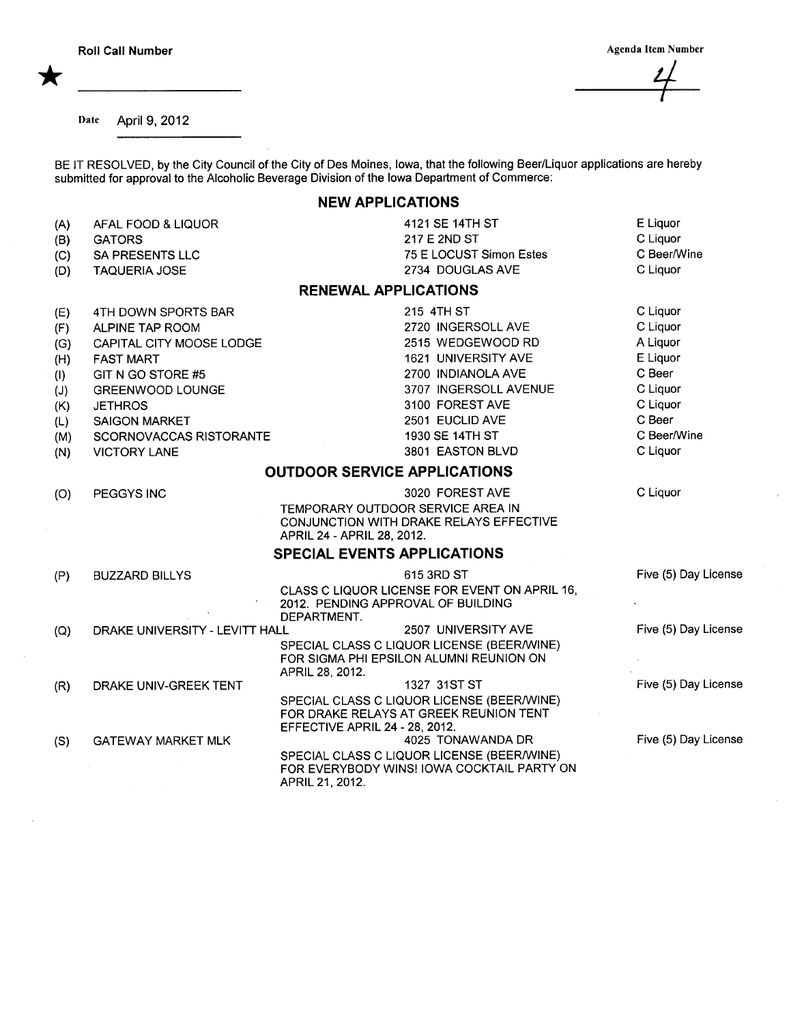Agenda Item Number

 $\mathbf{Z}$ 

Date April 9, 2012

BE IT RESOLVED, by the City Council of the City of Des Moines, Iowa, that the following Beer/Liquor applications are hereby submitted for approval to the Alcoholic Beverage Division of the Iowa Department of Commerce:

## NEW APPLICATIONS

| (A) | AFAL FOOD & LIQUOR             | 4121 SE 14TH ST                                                                                             | E Liquor             |
|-----|--------------------------------|-------------------------------------------------------------------------------------------------------------|----------------------|
| (B) | <b>GATORS</b>                  | 217 E 2ND ST                                                                                                | C Liquor             |
| (C) | <b>SA PRESENTS LLC</b>         | 75 E LOCUST Simon Estes                                                                                     | C Beer/Wine          |
| (D) | <b>TAQUERIA JOSE</b>           | 2734 DOUGLAS AVE                                                                                            | C Liquor             |
|     |                                | <b>RENEWAL APPLICATIONS</b>                                                                                 |                      |
| (E) | 4TH DOWN SPORTS BAR            | 215 4TH ST                                                                                                  | C Liquor             |
| (F) | ALPINE TAP ROOM                | 2720 INGERSOLL AVE                                                                                          | C Liquor             |
| (G) | CAPITAL CITY MOOSE LODGE       | 2515 WEDGEWOOD RD                                                                                           | A Liquor             |
| (H) | <b>FAST MART</b>               | 1621 UNIVERSITY AVE                                                                                         | E Liquor             |
| (1) | GIT N GO STORE #5              | 2700 INDIANOLA AVE                                                                                          | C Beer               |
| (J) | GREENWOOD LOUNGE               | 3707 INGERSOLL AVENUE                                                                                       | C Liquor             |
| (K) | <b>JETHROS</b>                 | 3100 FOREST AVE                                                                                             | C Liquor             |
| (L) | <b>SAIGON MARKET</b>           | 2501 EUCLID AVE                                                                                             | C Beer               |
| (M) | SCORNOVACCAS RISTORANTE        | 1930 SE 14TH ST                                                                                             | C Beer/Wine          |
| (N) | <b>VICTORY LANE</b>            | 3801 EASTON BLVD                                                                                            | C Liquor             |
|     |                                | <b>OUTDOOR SERVICE APPLICATIONS</b>                                                                         |                      |
| (O) | PEGGYS INC                     | 3020 FOREST AVE                                                                                             | C Liquor             |
|     |                                | TEMPORARY OUTDOOR SERVICE AREA IN<br>CONJUNCTION WITH DRAKE RELAYS EFFECTIVE<br>APRIL 24 - APRIL 28, 2012.  |                      |
|     |                                | <b>SPECIAL EVENTS APPLICATIONS</b>                                                                          |                      |
| (P) | <b>BUZZARD BILLYS</b>          | 615 3RD ST                                                                                                  | Five (5) Day License |
|     |                                | CLASS C LIQUOR LICENSE FOR EVENT ON APRIL 16,                                                               |                      |
|     |                                | 2012. PENDING APPROVAL OF BUILDING                                                                          |                      |
|     |                                | DEPARTMENT.                                                                                                 |                      |
| (Q) | DRAKE UNIVERSITY - LEVITT HALL | 2507 UNIVERSITY AVE<br>SPECIAL CLASS C LIQUOR LICENSE (BEER/WINE)                                           | Five (5) Day License |
|     |                                | FOR SIGMA PHI EPSILON ALUMNI REUNION ON                                                                     |                      |
|     |                                | APRIL 28, 2012.                                                                                             |                      |
| (R) | DRAKE UNIV-GREEK TENT          | 1327 31ST ST                                                                                                | Five (5) Day License |
|     |                                | SPECIAL CLASS C LIQUOR LICENSE (BEER/WINE)                                                                  |                      |
|     |                                | FOR DRAKE RELAYS AT GREEK REUNION TENT                                                                      |                      |
|     |                                | EFFECTIVE APRIL 24 - 28, 2012.<br>4025 TONAWANDA DR                                                         | Five (5) Day License |
| (S) | <b>GATEWAY MARKET MLK</b>      |                                                                                                             |                      |
|     |                                | SPECIAL CLASS C LIQUOR LICENSE (BEER/WINE)<br>FOR EVERYBODY WINS! IOWA COCKTAIL PARTY ON<br>APRIL 21, 2012. |                      |
|     |                                |                                                                                                             |                      |